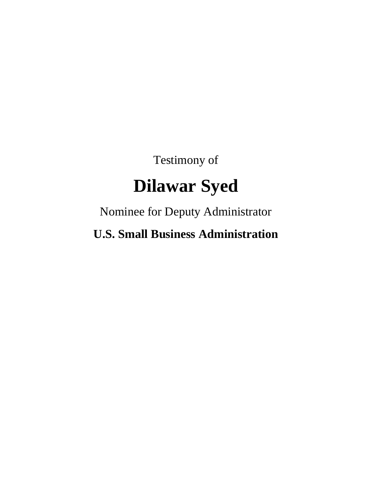Testimony of

## **Dilawar Syed**

Nominee for Deputy Administrator

**U.S. Small Business Administration**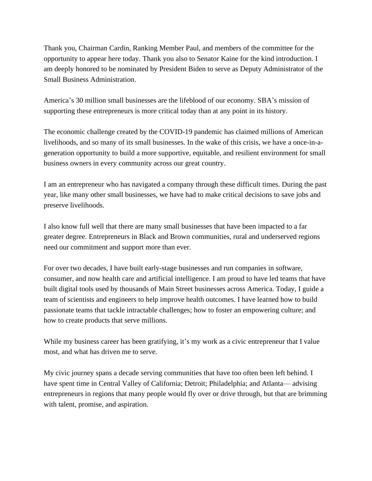Thank you, Chairman Cardin, Ranking Member Paul, and members of the committee for the opportunity to appear here today. Thank you also to Senator Kaine for the kind introduction. I am deeply honored to be nominated by President Biden to serve as Deputy Administrator of the Small Business Administration.

America's 30 million small businesses are the lifeblood of our economy. SBA's mission of supporting these entrepreneurs is more critical today than at any point in its history.

The economic challenge created by the COVID-19 pandemic has claimed millions of American livelihoods, and so many of its small businesses. In the wake of this crisis, we have a once-in-ageneration opportunity to build a more supportive, equitable, and resilient environment for small business owners in every community across our great country.

I am an entrepreneur who has navigated a company through these difficult times. During the past year, like many other small businesses, we have had to make critical decisions to save jobs and preserve livelihoods.

I also know full well that there are many small businesses that have been impacted to a far greater degree. Entrepreneurs in Black and Brown communities, rural and underserved regions need our commitment and support more than ever.

For over two decades, I have built early-stage businesses and run companies in software, consumer, and now health care and artificial intelligence. I am proud to have led teams that have built digital tools used by thousands of Main Street businesses across America. Today, I guide a team of scientists and engineers to help improve health outcomes. I have learned how to build passionate teams that tackle intractable challenges; how to foster an empowering culture; and how to create products that serve millions.

While my business career has been gratifying, it's my work as a civic entrepreneur that I value most, and what has driven me to serve.

My civic journey spans a decade serving communities that have too often been left behind. I have spent time in Central Valley of California; Detroit; Philadelphia; and Atlanta— advising entrepreneurs in regions that many people would fly over or drive through, but that are brimming with talent, promise, and aspiration.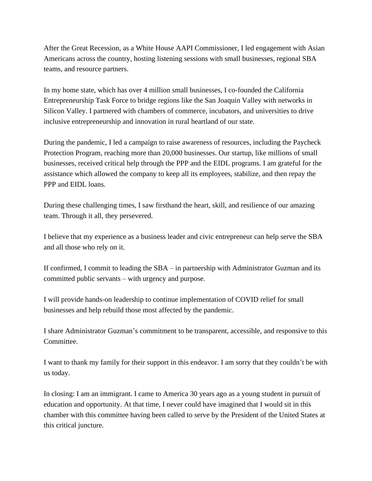After the Great Recession, as a White House AAPI Commissioner, I led engagement with Asian Americans across the country, hosting listening sessions with small businesses, regional SBA teams, and resource partners.

In my home state, which has over 4 million small businesses, I co-founded the California Entrepreneurship Task Force to bridge regions like the San Joaquin Valley with networks in Silicon Valley. I partnered with chambers of commerce, incubators, and universities to drive inclusive entrepreneurship and innovation in rural heartland of our state.

During the pandemic, I led a campaign to raise awareness of resources, including the Paycheck Protection Program, reaching more than 20,000 businesses. Our startup, like millions of small businesses, received critical help through the PPP and the EIDL programs. I am grateful for the assistance which allowed the company to keep all its employees, stabilize, and then repay the PPP and EIDL loans.

During these challenging times, I saw firsthand the heart, skill, and resilience of our amazing team. Through it all, they persevered.

I believe that my experience as a business leader and civic entrepreneur can help serve the SBA and all those who rely on it.

If confirmed, I commit to leading the SBA – in partnership with Administrator Guzman and its committed public servants – with urgency and purpose.

I will provide hands-on leadership to continue implementation of COVID relief for small businesses and help rebuild those most affected by the pandemic.

I share Administrator Guzman's commitment to be transparent, accessible, and responsive to this Committee.

I want to thank my family for their support in this endeavor. I am sorry that they couldn't be with us today.

In closing: I am an immigrant. I came to America 30 years ago as a young student in pursuit of education and opportunity. At that time, I never could have imagined that I would sit in this chamber with this committee having been called to serve by the President of the United States at this critical juncture.